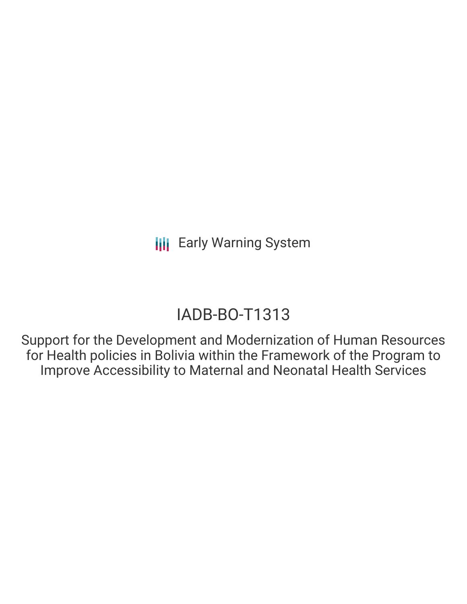**III** Early Warning System

## IADB-BO-T1313

Support for the Development and Modernization of Human Resources for Health policies in Bolivia within the Framework of the Program to Improve Accessibility to Maternal and Neonatal Health Services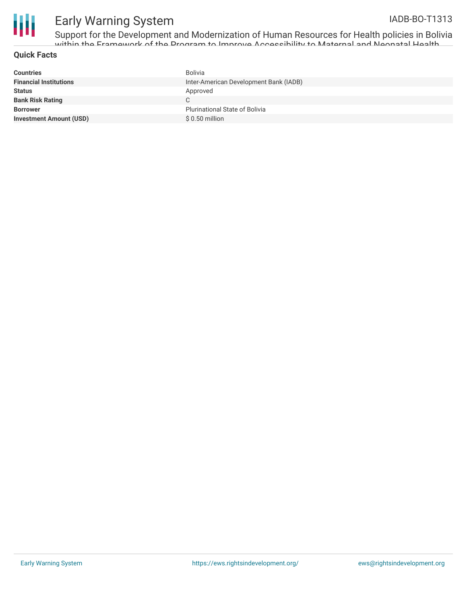

## Early Warning System

Support for the Development and Modernization of Human Resources for Health policies in Bolivia within the Framework of the Drogram to Improve Accessibility to Maternal and Neonatal Health

#### **Quick Facts**

| <b>Countries</b>               | Bolivia                                |
|--------------------------------|----------------------------------------|
| <b>Financial Institutions</b>  | Inter-American Development Bank (IADB) |
| <b>Status</b>                  | Approved                               |
| <b>Bank Risk Rating</b>        | C                                      |
| <b>Borrower</b>                | <b>Plurinational State of Bolivia</b>  |
| <b>Investment Amount (USD)</b> | \$ 0.50 million                        |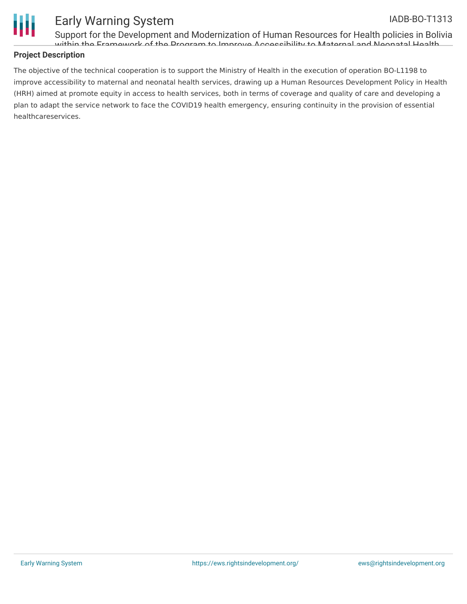



## Early Warning System

Support for the Development and Modernization of Human Resources for Health policies in Bolivia within the Framework of the Program to Improve Accessibility to Maternal and Neonatal Health

#### **Project Description**

The objective of the technical cooperation is to support the Ministry of Health in the execution of operation BO-L1198 to improve accessibility to maternal and neonatal health services, drawing up a Human Resources Development Policy in Health (HRH) aimed at promote equity in access to health services, both in terms of coverage and quality of care and developing a plan to adapt the service network to face the COVID19 health emergency, ensuring continuity in the provision of essential healthcareservices.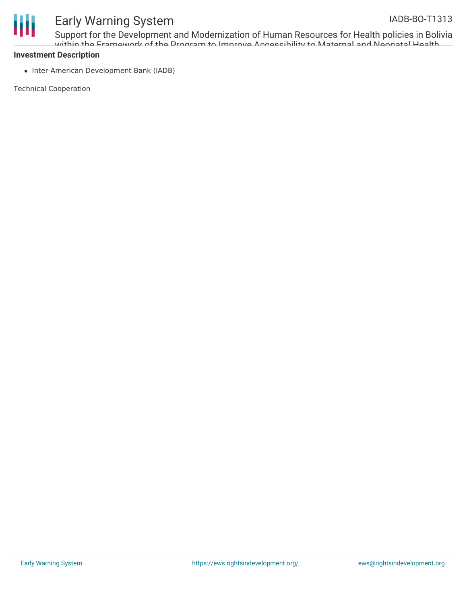

# Ш

## Early Warning System

Support for the Development and Modernization of Human Resources for Health policies in Bolivia within the Framework of the Drogram to Improve Accessibility to Maternal and Neonatal Health

### **Investment Description**

• Inter-American Development Bank (IADB)

Technical Cooperation